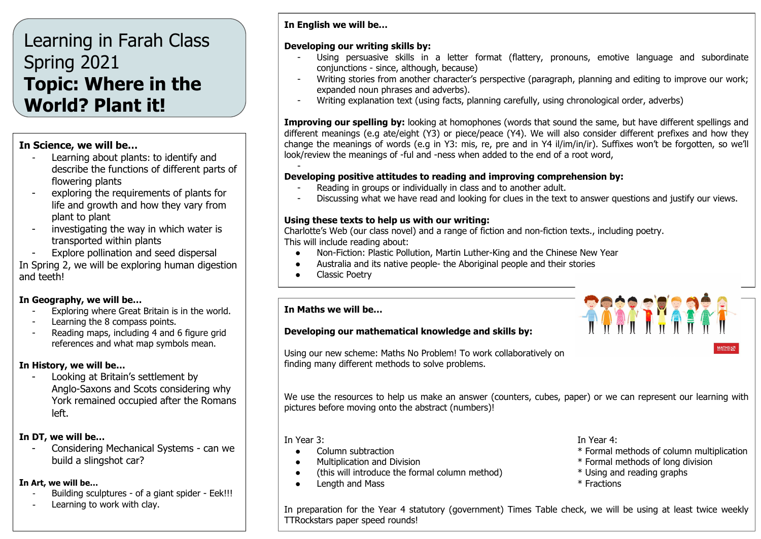# Learning in Farah Class Spring 2021 **Topic: Where in the World? Plant it!**

## **In Science, we will be…**

- Learning about plants: to identify and describe the functions of different parts of flowering plants
- exploring the requirements of plants for life and growth and how they vary from plant to plant
- investigating the way in which water is transported within plants
- Explore pollination and seed dispersal

In Spring 2, we will be exploring human digestion and teeth!

## **In Geography, we will be…**

- Exploring where Great Britain is in the world.
- Learning the 8 compass points.
- Reading maps, including 4 and 6 figure grid references and what map symbols mean.

## **In History, we will be…**

Looking at Britain's settlement by Anglo-Saxons and Scots considering why York remained occupied after the Romans left.

## **In DT, we will be…**

- Considering Mechanical Systems - can we build a slingshot car?

## **In Art, we will be…**

- Building sculptures of a giant spider Eek!!!
- Learning to work with clay.

## **In English we will be…**

## **Developing our writing skills by:**

- Using persuasive skills in a letter format (flattery, pronouns, emotive language and subordinate conjunctions - since, although, because)
- Writing stories from another character's perspective (paragraph, planning and editing to improve our work; expanded noun phrases and adverbs).
- Writing explanation text (using facts, planning carefully, using chronological order, adverbs)

**Improving our spelling by:** looking at homophones (words that sound the same, but have different spellings and different meanings (e.g ate/eight (Y3) or piece/peace (Y4). We will also consider different prefixes and how they change the meanings of words (e.g in Y3: mis, re, pre and in Y4 il/im/in/ir). Suffixes won't be forgotten, so we'll look/review the meanings of -ful and -ness when added to the end of a root word,

#### - **Developing positive attitudes to reading and improving comprehension by:**

- Reading in groups or individually in class and to another adult.
- Discussing what we have read and looking for clues in the text to answer questions and justify our views.

## **Using these texts to help us with our writing:**

Charlotte's Web (our class novel) and a range of fiction and non-fiction texts., including poetry. This will include reading about:

- Non-Fiction: Plastic Pollution, Martin Luther-King and the Chinese New Year
- Australia and its native people- the Aboriginal people and their stories
- Classic Poetry

#### **In Maths we will be…**

## **Developing our mathematical knowledge and skills by:**

Using our new scheme: Maths No Problem! To work collaboratively on finding many different methods to solve problems.

We use the resources to help us make an answer (counters, cubes, paper) or we can represent our learning with pictures before moving onto the abstract (numbers)!

- 
- 
- (this will introduce the formal column method) \* Using and reading graphs
- Length and Mass \* Fractions

In Year 3: In Year 4:

● Column subtraction \* Formal methods of column multiplication

**RANCHERER** 

- Multiplication and Division \* Formal methods of long division
	-
	-

In preparation for the Year 4 statutory (government) Times Table check, we will be using at least twice weekly TTRockstars paper speed rounds!